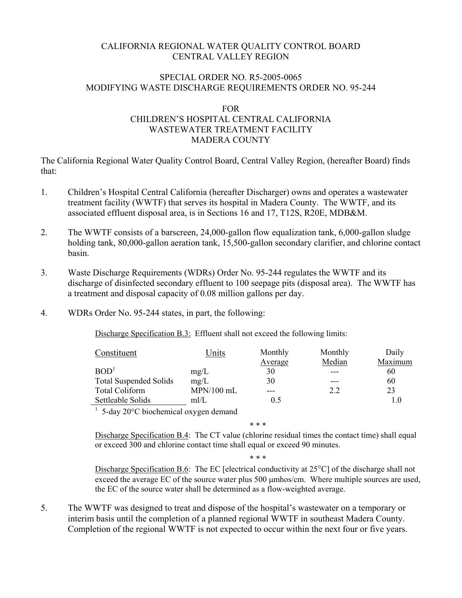## CALIFORNIA REGIONAL WATER QUALITY CONTROL BOARD CENTRAL VALLEY REGION

### SPECIAL ORDER NO. R5-2005-0065 MODIFYING WASTE DISCHARGE REQUIREMENTS ORDER NO. 95-244

#### FOR

# CHILDREN'S HOSPITAL CENTRAL CALIFORNIA WASTEWATER TREATMENT FACILITY MADERA COUNTY

The California Regional Water Quality Control Board, Central Valley Region, (hereafter Board) finds that:

- 1. Children's Hospital Central California (hereafter Discharger) owns and operates a wastewater treatment facility (WWTF) that serves its hospital in Madera County. The WWTF, and its associated effluent disposal area, is in Sections 16 and 17, T12S, R20E, MDB&M.
- 2. The WWTF consists of a barscreen, 24,000-gallon flow equalization tank, 6,000-gallon sludge holding tank, 80,000-gallon aeration tank, 15,500-gallon secondary clarifier, and chlorine contact basin.
- 3. Waste Discharge Requirements (WDRs) Order No. 95-244 regulates the WWTF and its discharge of disinfected secondary effluent to 100 seepage pits (disposal area). The WWTF has a treatment and disposal capacity of 0.08 million gallons per day.
- 4. WDRs Order No. 95-244 states, in part, the following:

Discharge Specification B.3: Effluent shall not exceed the following limits:

| Constituent                                                     | Units        | Monthly | Monthly | Daily   |
|-----------------------------------------------------------------|--------------|---------|---------|---------|
|                                                                 |              | Average | Median  | Maximum |
| BOD <sup>1</sup>                                                | mg/L         | 30      |         | 60      |
| <b>Total Suspended Solids</b>                                   | mg/L         | 30      |         | 60      |
| <b>Total Coliform</b>                                           | $MPN/100$ mL |         | 2.2     | 23      |
| Settleable Solids                                               | mI/L         | 0.5     |         |         |
| $\frac{1}{2}$ 5 day 2000 biography in a system of $\frac{1}{2}$ |              |         |         |         |

5-day 20°C biochemical oxygen demand

\* \* \*

Discharge Specification B.4:The CT value (chlorine residual times the contact time) shall equal or exceed 300 and chlorine contact time shall equal or exceed 90 minutes.

\* \* \*

Discharge Specification B.6: The EC [electrical conductivity at 25<sup>°</sup>C] of the discharge shall not exceed the average EC of the source water plus 500 µmhos/cm. Where multiple sources are used, the EC of the source water shall be determined as a flow-weighted average.

5. The WWTF was designed to treat and dispose of the hospital's wastewater on a temporary or interim basis until the completion of a planned regional WWTF in southeast Madera County. Completion of the regional WWTF is not expected to occur within the next four or five years.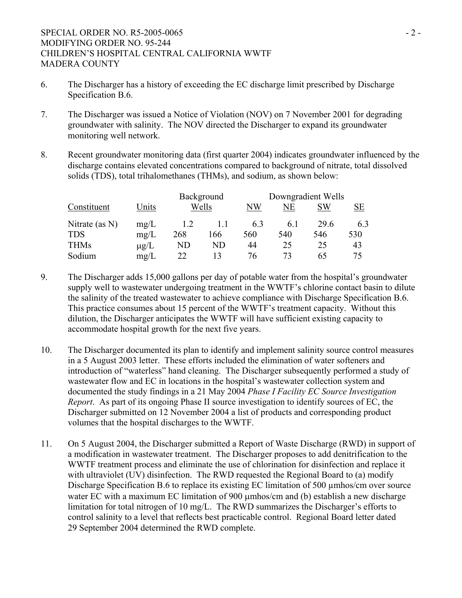## SPECIAL ORDER NO. R5-2005-0065 MODIFYING ORDER NO. 95-244 CHILDREN'S HOSPITAL CENTRAL CALIFORNIA WWTF MADERA COUNTY

- 6. The Discharger has a history of exceeding the EC discharge limit prescribed by Discharge Specification B.6.
- 7. The Discharger was issued a Notice of Violation (NOV) on 7 November 2001 for degrading groundwater with salinity. The NOV directed the Discharger to expand its groundwater monitoring well network.
- 8. Recent groundwater monitoring data (first quarter 2004) indicates groundwater influenced by the discharge contains elevated concentrations compared to background of nitrate, total dissolved solids (TDS), total trihalomethanes (THMs), and sodium, as shown below:

|                |           | Background |       | Downgradient Wells |     |      |     |
|----------------|-----------|------------|-------|--------------------|-----|------|-----|
| Constituent    | Units     |            | Wells | NW                 | NΕ  | SW   | SЕ  |
| Nitrate (as N) | mg/L      | 1.2        |       | 6.3                | 6.1 | 29.6 | 6.3 |
| <b>TDS</b>     | mg/L      | 268        | 166   | 560                | 540 | 546  | 530 |
| <b>THMs</b>    | $\mu$ g/L | ND         | ND    | 44                 | 25  | 25   | 43  |
| Sodium         | mg/L      | 22         |       | 76                 | 73  | 65   | 75  |

- 9. The Discharger adds 15,000 gallons per day of potable water from the hospital's groundwater supply well to wastewater undergoing treatment in the WWTF's chlorine contact basin to dilute the salinity of the treated wastewater to achieve compliance with Discharge Specification B.6. This practice consumes about 15 percent of the WWTF's treatment capacity. Without this dilution, the Discharger anticipates the WWTF will have sufficient existing capacity to accommodate hospital growth for the next five years.
- 10. The Discharger documented its plan to identify and implement salinity source control measures in a 5 August 2003 letter. These efforts included the elimination of water softeners and introduction of "waterless" hand cleaning. The Discharger subsequently performed a study of wastewater flow and EC in locations in the hospital's wastewater collection system and documented the study findings in a 21 May 2004 *Phase I Facility EC Source Investigation Report*. As part of its ongoing Phase II source investigation to identify sources of EC, the Discharger submitted on 12 November 2004 a list of products and corresponding product volumes that the hospital discharges to the WWTF.
- 11. On 5 August 2004, the Discharger submitted a Report of Waste Discharge (RWD) in support of a modification in wastewater treatment. The Discharger proposes to add denitrification to the WWTF treatment process and eliminate the use of chlorination for disinfection and replace it with ultraviolet (UV) disinfection. The RWD requested the Regional Board to (a) modify Discharge Specification B.6 to replace its existing EC limitation of 500 µmhos/cm over source water EC with a maximum EC limitation of 900 µmhos/cm and (b) establish a new discharge limitation for total nitrogen of 10 mg/L. The RWD summarizes the Discharger's efforts to control salinity to a level that reflects best practicable control. Regional Board letter dated 29 September 2004 determined the RWD complete.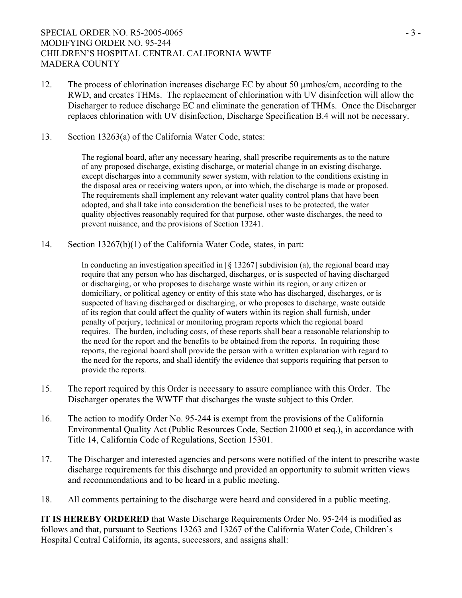## SPECIAL ORDER NO. R5-2005-0065 MODIFYING ORDER NO. 95-244 CHILDREN'S HOSPITAL CENTRAL CALIFORNIA WWTF MADERA COUNTY

- 12. The process of chlorination increases discharge EC by about 50 µmhos/cm, according to the RWD, and creates THMs. The replacement of chlorination with UV disinfection will allow the Discharger to reduce discharge EC and eliminate the generation of THMs. Once the Discharger replaces chlorination with UV disinfection, Discharge Specification B.4 will not be necessary.
- 13. Section 13263(a) of the California Water Code, states:

The regional board, after any necessary hearing, shall prescribe requirements as to the nature of any proposed discharge, existing discharge, or material change in an existing discharge, except discharges into a community sewer system, with relation to the conditions existing in the disposal area or receiving waters upon, or into which, the discharge is made or proposed. The requirements shall implement any relevant water quality control plans that have been adopted, and shall take into consideration the beneficial uses to be protected, the water quality objectives reasonably required for that purpose, other waste discharges, the need to prevent nuisance, and the provisions of Section 13241.

14. Section 13267(b)(1) of the California Water Code, states, in part:

In conducting an investigation specified in  $\lceil \xi \rceil$  subdivision (a), the regional board may require that any person who has discharged, discharges, or is suspected of having discharged or discharging, or who proposes to discharge waste within its region, or any citizen or domiciliary, or political agency or entity of this state who has discharged, discharges, or is suspected of having discharged or discharging, or who proposes to discharge, waste outside of its region that could affect the quality of waters within its region shall furnish, under penalty of perjury, technical or monitoring program reports which the regional board requires. The burden, including costs, of these reports shall bear a reasonable relationship to the need for the report and the benefits to be obtained from the reports. In requiring those reports, the regional board shall provide the person with a written explanation with regard to the need for the reports, and shall identify the evidence that supports requiring that person to provide the reports.

- 15. The report required by this Order is necessary to assure compliance with this Order. The Discharger operates the WWTF that discharges the waste subject to this Order.
- 16. The action to modify Order No. 95-244 is exempt from the provisions of the California Environmental Quality Act (Public Resources Code, Section 21000 et seq.), in accordance with Title 14, California Code of Regulations, Section 15301.
- 17. The Discharger and interested agencies and persons were notified of the intent to prescribe waste discharge requirements for this discharge and provided an opportunity to submit written views and recommendations and to be heard in a public meeting.
- 18. All comments pertaining to the discharge were heard and considered in a public meeting.

**IT IS HEREBY ORDERED** that Waste Discharge Requirements Order No. 95-244 is modified as follows and that, pursuant to Sections 13263 and 13267 of the California Water Code, Children's Hospital Central California, its agents, successors, and assigns shall: